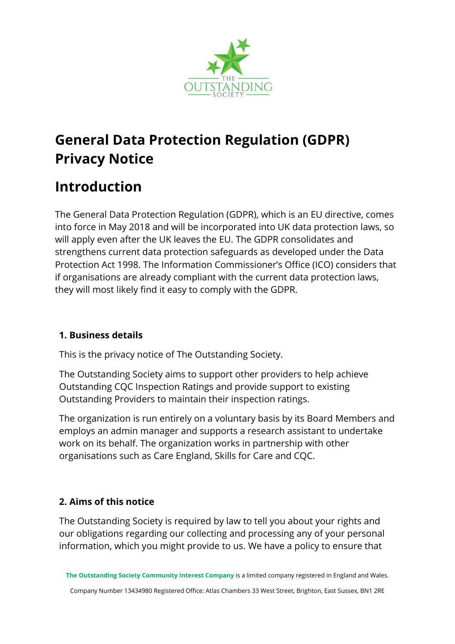

# **General Data Protection Regulation (GDPR) Privacy Notice**

# **Introduction**

The General Data Protection Regulation (GDPR), which is an EU directive, comes into force in May 2018 and will be incorporated into UK data protection laws, so will apply even after the UK leaves the EU. The GDPR consolidates and strengthens current data protection safeguards as developed under the Data Protection Act 1998. The Information Commissioner's Office (ICO) considers that if organisations are already compliant with the current data protection laws, they will most likely find it easy to comply with the GDPR.

## **1. Business details**

This is the privacy notice of The Outstanding Society.

The Outstanding Society aims to support other providers to help achieve Outstanding CQC Inspection Ratings and provide support to existing Outstanding Providers to maintain their inspection ratings.

The organization is run entirely on a voluntary basis by its Board Members and employs an admin manager and supports a research assistant to undertake work on its behalf. The organization works in partnership with other organisations such as Care England, Skills for Care and CQC.

## **2. Aims of this notice**

The Outstanding Society is required by law to tell you about your rights and our obligations regarding our collecting and processing any of your personal information, which you might provide to us. We have a policy to ensure that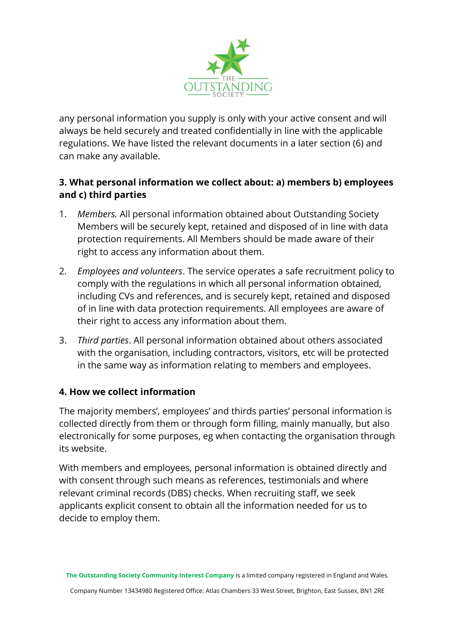

any personal information you supply is only with your active consent and will always be held securely and treated confidentially in line with the applicable regulations. We have listed the relevant documents in a later section (6) and can make any available.

#### **3. What personal information we collect about: a) members b) employees and c) third parties**

- 1. *Members.* All personal information obtained about Outstanding Society Members will be securely kept, retained and disposed of in line with data protection requirements. All Members should be made aware of their right to access any information about them.
- 2. *Employees and volunteers*. The service operates a safe recruitment policy to comply with the regulations in which all personal information obtained, including CVs and references, and is securely kept, retained and disposed of in line with data protection requirements. All employees are aware of their right to access any information about them.
- 3. *Third parties*. All personal information obtained about others associated with the organisation, including contractors, visitors, etc will be protected in the same way as information relating to members and employees.

#### **4. How we collect information**

The majority members', employees' and thirds parties' personal information is collected directly from them or through form filling, mainly manually, but also electronically for some purposes, eg when contacting the organisation through its website.

With members and employees, personal information is obtained directly and with consent through such means as references, testimonials and where relevant criminal records (DBS) checks. When recruiting staff, we seek applicants explicit consent to obtain all the information needed for us to decide to employ them.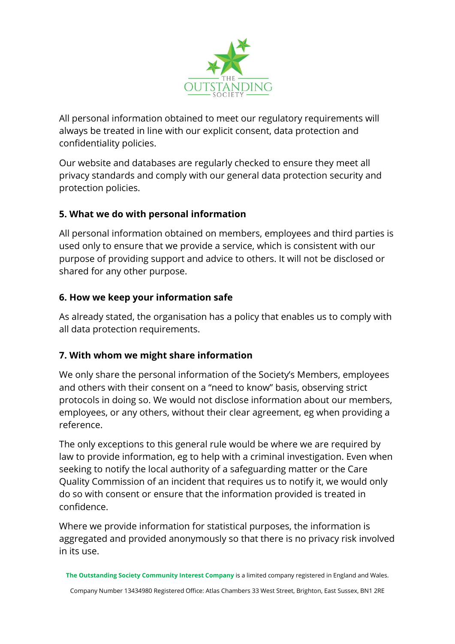

All personal information obtained to meet our regulatory requirements will always be treated in line with our explicit consent, data protection and confidentiality policies.

Our website and databases are regularly checked to ensure they meet all privacy standards and comply with our general data protection security and protection policies.

## **5. What we do with personal information**

All personal information obtained on members, employees and third parties is used only to ensure that we provide a service, which is consistent with our purpose of providing support and advice to others. It will not be disclosed or shared for any other purpose.

## **6. How we keep your information safe**

As already stated, the organisation has a policy that enables us to comply with all data protection requirements.

## **7. With whom we might share information**

We only share the personal information of the Society's Members, employees and others with their consent on a "need to know" basis, observing strict protocols in doing so. We would not disclose information about our members, employees, or any others, without their clear agreement, eg when providing a reference.

The only exceptions to this general rule would be where we are required by law to provide information, eg to help with a criminal investigation. Even when seeking to notify the local authority of a safeguarding matter or the Care Quality Commission of an incident that requires us to notify it, we would only do so with consent or ensure that the information provided is treated in confidence.

Where we provide information for statistical purposes, the information is aggregated and provided anonymously so that there is no privacy risk involved in its use.

**The Outstanding Society Community Interest Company** is a limited company registered in England and Wales.

Company Number 13434980 Registered Office: Atlas Chambers 33 West Street, Brighton, East Sussex, BN1 2RE